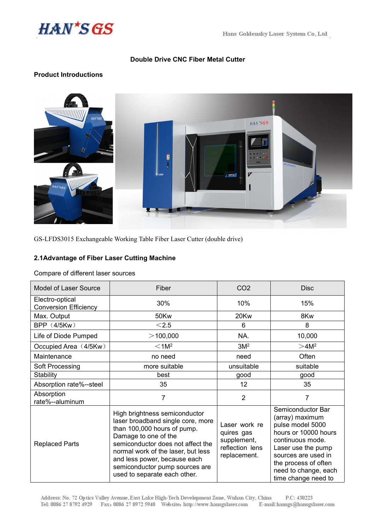

# **Double Drive CNC Fiber Metal Cutter**

# **Product Introductions**



GS-LFDS3015 Exchangeable Working Table Fiber Laser Cutter (double drive)

### **2.1Advantage of Fiber Laser Cutting Machine**

Compare of different laser sources

| <b>Model of Laser Source</b>                    | Fiber                                                                                                                                                                                                                                                                                                  | CO <sub>2</sub>                                                               | <b>Disc</b>                                                                                                                                                                                                              |  |
|-------------------------------------------------|--------------------------------------------------------------------------------------------------------------------------------------------------------------------------------------------------------------------------------------------------------------------------------------------------------|-------------------------------------------------------------------------------|--------------------------------------------------------------------------------------------------------------------------------------------------------------------------------------------------------------------------|--|
| Electro-optical<br><b>Conversion Efficiency</b> | 30%                                                                                                                                                                                                                                                                                                    | 10%                                                                           | 15%                                                                                                                                                                                                                      |  |
| Max. Output                                     | 50Kw                                                                                                                                                                                                                                                                                                   | 20Kw                                                                          | 8Kw                                                                                                                                                                                                                      |  |
| <b>BPP (4/5Kw)</b>                              | $<$ 2.5                                                                                                                                                                                                                                                                                                | 6                                                                             | 8                                                                                                                                                                                                                        |  |
| Life of Diode Pumped                            | $>$ 100,000                                                                                                                                                                                                                                                                                            | NA.                                                                           | 10,000                                                                                                                                                                                                                   |  |
| Occupied Area (4/5Kw)                           | < 1 M <sup>2</sup>                                                                                                                                                                                                                                                                                     | 3M <sup>2</sup>                                                               | >4M <sup>2</sup>                                                                                                                                                                                                         |  |
| Maintenance                                     | no need                                                                                                                                                                                                                                                                                                | need                                                                          | Often                                                                                                                                                                                                                    |  |
| Soft Processing                                 | more suitable                                                                                                                                                                                                                                                                                          | unsuitable                                                                    | suitable                                                                                                                                                                                                                 |  |
| <b>Stability</b>                                | best                                                                                                                                                                                                                                                                                                   | good                                                                          | good                                                                                                                                                                                                                     |  |
| Absorption rate%--steel                         | 35                                                                                                                                                                                                                                                                                                     | $12 \overline{ }$                                                             | 35                                                                                                                                                                                                                       |  |
| Absorption<br>rate%--aluminum                   | $\overline{7}$                                                                                                                                                                                                                                                                                         | $\overline{2}$                                                                | $\overline{7}$                                                                                                                                                                                                           |  |
| <b>Replaced Parts</b>                           | High brightness semiconductor<br>laser broadband single core, more<br>than 100,000 hours of pump.<br>Damage to one of the<br>semiconductor does not affect the<br>normal work of the laser, but less<br>and less power, because each<br>semiconductor pump sources are<br>used to separate each other. | Laser work re<br>quires gas<br>supplement,<br>reflection lens<br>replacement. | Semiconductor Bar<br>(array) maximum<br>pulse model 5000<br>hours or 10000 hours<br>continuous mode.<br>Laser use the pump<br>sources are used in<br>the process of often<br>need to change, each<br>time change need to |  |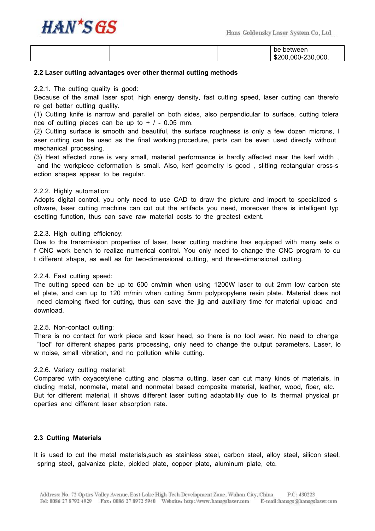

|  | between<br>.<br>pе                         |
|--|--------------------------------------------|
|  | ,000.<br>nor<br>000-<br>200.<br>-51.<br>w. |

#### **2.2 Laser cutting advantages over other thermal cutting methods**

2.2.1. The cutting quality is good:

Because of the small laser spot, high energy density, fast cutting speed, laser cutting can therefo re get better cutting quality.

(1) Cutting knife is narrow and parallel on both sides, also perpendicular to surface, cutting tolera nce of cutting pieces can be up to  $+$  / - 0.05 mm.

(2) Cutting surface is smooth and beautiful, the surface roughness is only a few dozen microns, l aser cutting can be used as the final [working](file:///C:/Documents%20and%20Settings/Administrator/Local%20Settings/Application%20Data/Yodao/DeskDict/frame/20150408150332/javascript:void(0);) [procedure](file:///C:/Documents%20and%20Settings/Administrator/Local%20Settings/Application%20Data/Yodao/DeskDict/frame/20150408150332/javascript:void(0);), parts can be even used directly without mechanical processing.

(3) Heat affected zone is very small, material performance is hardly affected near the kerf width , and the workpiece deformation is small. Also, kerf geometry is good , slitting rectangular cross-s ection shapes appear to be regular.

#### 2.2.2. Highly automation:

Adopts digital control, you only need to use CAD to draw the picture and import to specialized s oftware, laser cutting machine can cut out the artifacts you need, moreover there is intelligent typ esetting function, thus can save raw material costs to the greatest extent.

#### 2.2.3. High cutting efficiency:

Due to the transmission properties of laser, laser cutting machine has equipped with many sets o f CNC work bench to realize numerical control. You only need to change the CNC program to cu t different shape, as well as for two-dimensional cutting, and three-dimensional cutting.

#### 2.2.4. Fast cutting speed:

The cutting speed can be up to 600 cm/min when using 1200W laser to cut 2mm low carbon ste el plate, and can up to 120 m/min when cutting 5mm polypropylene resin plate. Material does not need clamping fixed for cutting, thus can save the jig and auxiliary time for material upload and download.

#### 2.2.5. Non-contact cutting:

There is no contact for work piece and laser head, so there is no tool wear. No need to change "tool" for different shapes parts processing, only need to change the output parameters. Laser, lo w noise, small vibration, and no pollution while cutting.

#### 2.2.6. Variety cutting material:

Compared with oxyacetylene cutting and plasma cutting, laser can cut many kinds of materials, in cluding metal, nonmetal, metal and nonmetal based composite material, leather, wood, fiber, etc. But for different material, it shows different laser cutting adaptability due to its thermal physical pr operties and different laser absorption rate.

## **2.3 Cutting Materials**

It is used to cut the metal materials,such as stainless steel, carbon steel, alloy steel, silicon steel, spring steel, galvanize plate, pickled plate, copper plate, aluminum plate, etc.